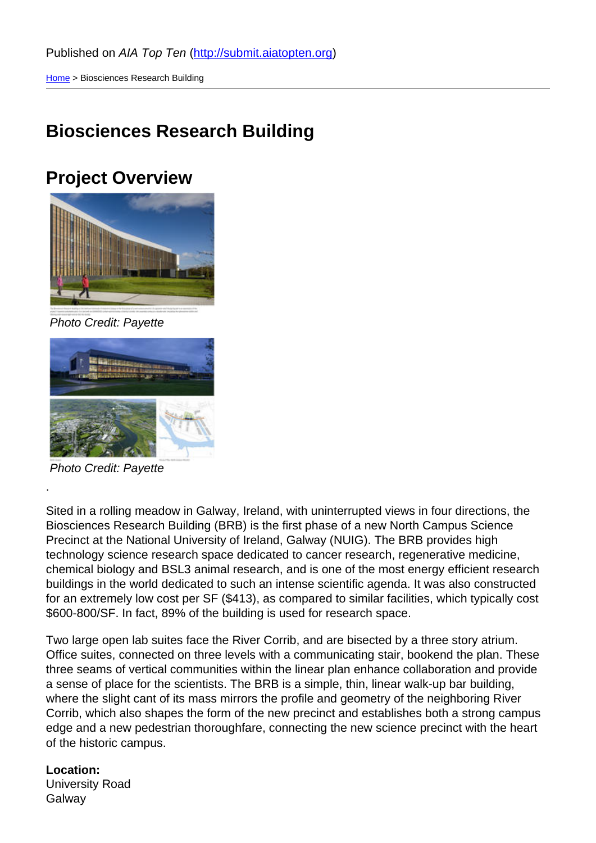### [Bio](http://submit.aiatopten.org/)sciences Research Building

Project Overview

Photo Credit: Payette

Photo Credit: Payette

.

Sited in a rolling meadow in Galway, Ireland, with uninterrupted views in four directions, the Biosciences Research Building (BRB) is the first phase of a new North Campus Science Precinct at the National University of Ireland, Galway (NUIG). The BRB provides high technology science research space dedicated to cancer research, regenerative medicine, chemical biology and BSL3 animal research, and is one of the most energy efficient research buildings in the world dedicated to such an intense scientific agenda. It was also constructed for an extremely low cost per SF (\$413), as compared to similar facilities, which typically cost \$600-800/SF. In fact, 89% of the building is used for research space.

Two large open lab suites face the River Corrib, and are bisected by a three story atrium. Office suites, connected on three levels with a communicating stair, bookend the plan. These three seams of vertical communities within the linear plan enhance collaboration and provide a sense of place for the scientists. The BRB is a simple, thin, linear walk-up bar building, where the slight cant of its mass mirrors the profile and geometry of the neighboring River Corrib, which also shapes the form of the new precinct and establishes both a strong campus edge and a new pedestrian thoroughfare, connecting the new science precinct with the heart of the historic campus.

Location: University Road **Galway**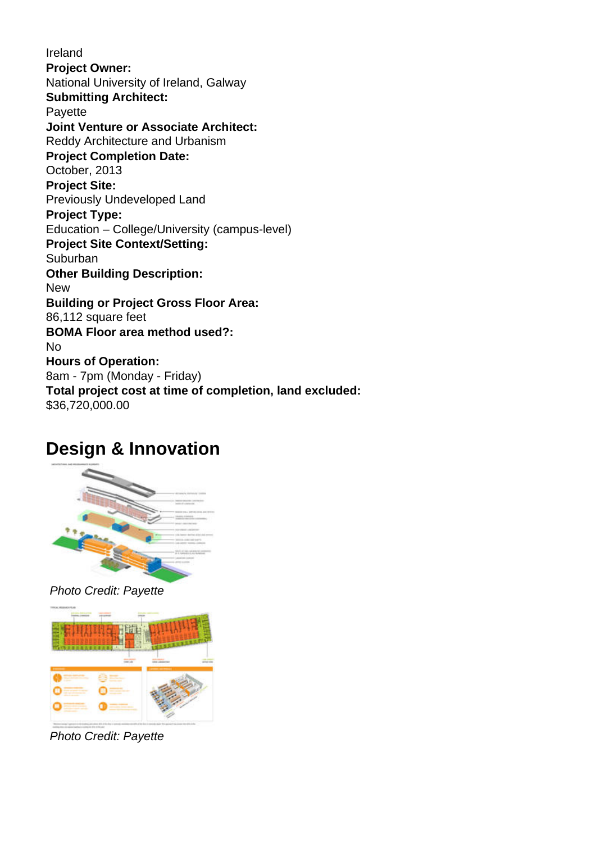Ireland **Project Owner:**  National University of Ireland, Galway **Submitting Architect: Payette Joint Venture or Associate Architect:**  Reddy Architecture and Urbanism **Project Completion Date:**  October, 2013 **Project Site:**  Previously Undeveloped Land **Project Type:**  Education – College/University (campus-level) **Project Site Context/Setting:**  Suburban **Other Building Description:**  New **Building or Project Gross Floor Area:**  86,112 square feet **BOMA Floor area method used?:**  No **Hours of Operation:**  8am - 7pm (Monday - Friday) **Total project cost at time of completion, land excluded:**  \$36,720,000.00

## **Design & Innovation**



### Photo Credit: Payette



Photo Credit: Payette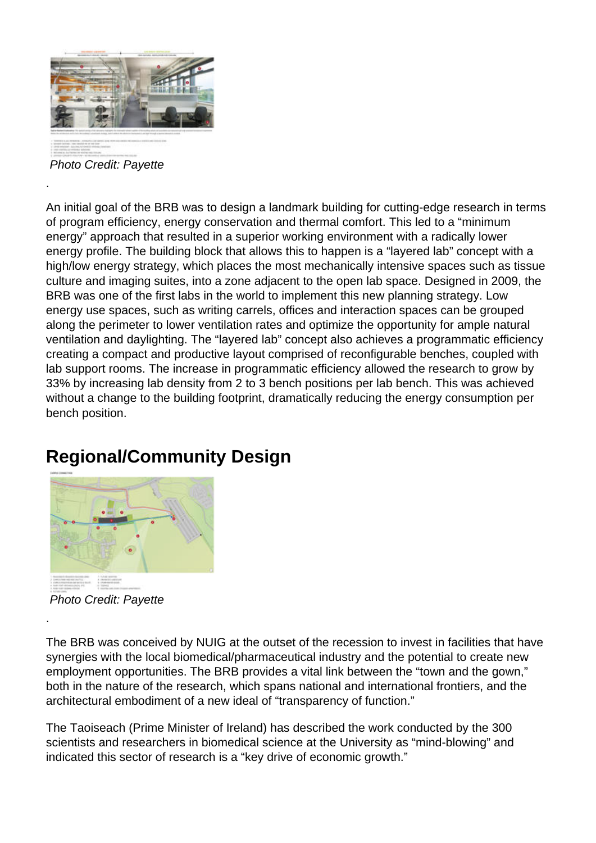

Photo Credit: Payette

.

An initial goal of the BRB was to design a landmark building for cutting-edge research in terms of program efficiency, energy conservation and thermal comfort. This led to a "minimum energy" approach that resulted in a superior working environment with a radically lower energy profile. The building block that allows this to happen is a "layered lab" concept with a high/low energy strategy, which places the most mechanically intensive spaces such as tissue culture and imaging suites, into a zone adjacent to the open lab space. Designed in 2009, the BRB was one of the first labs in the world to implement this new planning strategy. Low energy use spaces, such as writing carrels, offices and interaction spaces can be grouped along the perimeter to lower ventilation rates and optimize the opportunity for ample natural ventilation and daylighting. The "layered lab" concept also achieves a programmatic efficiency creating a compact and productive layout comprised of reconfigurable benches, coupled with lab support rooms. The increase in programmatic efficiency allowed the research to grow by 33% by increasing lab density from 2 to 3 bench positions per lab bench. This was achieved without a change to the building footprint, dramatically reducing the energy consumption per bench position.

## **Regional/Community Design**



Photo Credit: Payette

.

The BRB was conceived by NUIG at the outset of the recession to invest in facilities that have synergies with the local biomedical/pharmaceutical industry and the potential to create new employment opportunities. The BRB provides a vital link between the "town and the gown," both in the nature of the research, which spans national and international frontiers, and the architectural embodiment of a new ideal of "transparency of function."

The Taoiseach (Prime Minister of Ireland) has described the work conducted by the 300 scientists and researchers in biomedical science at the University as "mind-blowing" and indicated this sector of research is a "key drive of economic growth."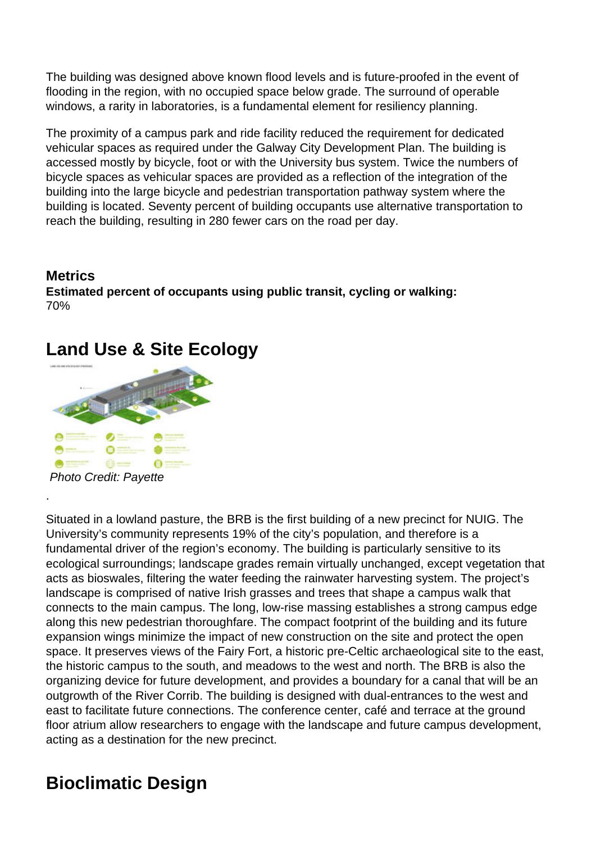The building was designed above known flood levels and is future-proofed in the event of flooding in the region, with no occupied space below grade. The surround of operable windows, a rarity in laboratories, is a fundamental element for resiliency planning.

The proximity of a campus park and ride facility reduced the requirement for dedicated vehicular spaces as required under the Galway City Development Plan. The building is accessed mostly by bicycle, foot or with the University bus system. Twice the numbers of bicycle spaces as vehicular spaces are provided as a reflection of the integration of the building into the large bicycle and pedestrian transportation pathway system where the building is located. Seventy percent of building occupants use alternative transportation to reach the building, resulting in 280 fewer cars on the road per day.

#### **Metrics Estimated percent of occupants using public transit, cycling or walking:**  70%

## **Land Use & Site Ecology**



.

Situated in a lowland pasture, the BRB is the first building of a new precinct for NUIG. The University's community represents 19% of the city's population, and therefore is a fundamental driver of the region's economy. The building is particularly sensitive to its ecological surroundings; landscape grades remain virtually unchanged, except vegetation that acts as bioswales, filtering the water feeding the rainwater harvesting system. The project's landscape is comprised of native Irish grasses and trees that shape a campus walk that connects to the main campus. The long, low-rise massing establishes a strong campus edge along this new pedestrian thoroughfare. The compact footprint of the building and its future expansion wings minimize the impact of new construction on the site and protect the open space. It preserves views of the Fairy Fort, a historic pre-Celtic archaeological site to the east, the historic campus to the south, and meadows to the west and north. The BRB is also the organizing device for future development, and provides a boundary for a canal that will be an outgrowth of the River Corrib. The building is designed with dual-entrances to the west and east to facilitate future connections. The conference center, café and terrace at the ground floor atrium allow researchers to engage with the landscape and future campus development, acting as a destination for the new precinct.

# **Bioclimatic Design**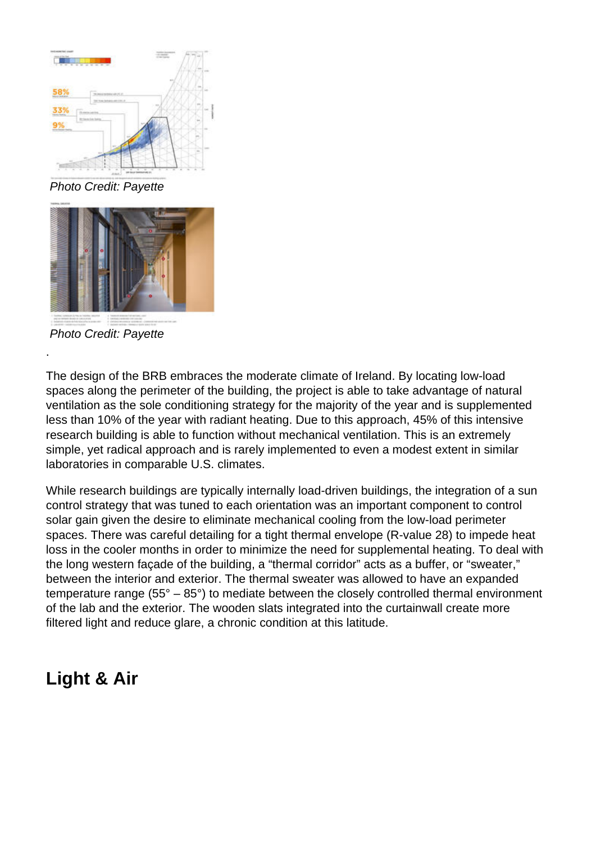

Photo Credit: Payette



Photo Credit: Payette

.

The design of the BRB embraces the moderate climate of Ireland. By locating low-load spaces along the perimeter of the building, the project is able to take advantage of natural ventilation as the sole conditioning strategy for the majority of the year and is supplemented less than 10% of the year with radiant heating. Due to this approach, 45% of this intensive research building is able to function without mechanical ventilation. This is an extremely simple, yet radical approach and is rarely implemented to even a modest extent in similar laboratories in comparable U.S. climates.

While research buildings are typically internally load-driven buildings, the integration of a sun control strategy that was tuned to each orientation was an important component to control solar gain given the desire to eliminate mechanical cooling from the low-load perimeter spaces. There was careful detailing for a tight thermal envelope (R-value 28) to impede heat loss in the cooler months in order to minimize the need for supplemental heating. To deal with the long western façade of the building, a "thermal corridor" acts as a buffer, or "sweater," between the interior and exterior. The thermal sweater was allowed to have an expanded temperature range ( $55^{\circ} - 85^{\circ}$ ) to mediate between the closely controlled thermal environment of the lab and the exterior. The wooden slats integrated into the curtainwall create more filtered light and reduce glare, a chronic condition at this latitude.

## **Light & Air**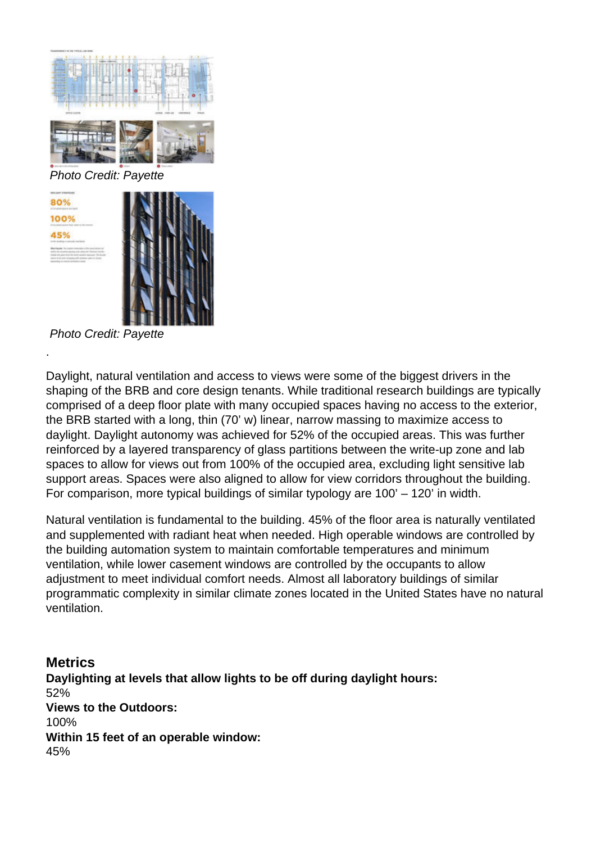



Photo Credit: Payette

.

Daylight, natural ventilation and access to views were some of the biggest drivers in the shaping of the BRB and core design tenants. While traditional research buildings are typically comprised of a deep floor plate with many occupied spaces having no access to the exterior, the BRB started with a long, thin (70' w) linear, narrow massing to maximize access to daylight. Daylight autonomy was achieved for 52% of the occupied areas. This was further reinforced by a layered transparency of glass partitions between the write-up zone and lab spaces to allow for views out from 100% of the occupied area, excluding light sensitive lab support areas. Spaces were also aligned to allow for view corridors throughout the building. For comparison, more typical buildings of similar typology are 100' – 120' in width.

Natural ventilation is fundamental to the building. 45% of the floor area is naturally ventilated and supplemented with radiant heat when needed. High operable windows are controlled by the building automation system to maintain comfortable temperatures and minimum ventilation, while lower casement windows are controlled by the occupants to allow adjustment to meet individual comfort needs. Almost all laboratory buildings of similar programmatic complexity in similar climate zones located in the United States have no natural ventilation.

**Metrics Daylighting at levels that allow lights to be off during daylight hours:**  52% **Views to the Outdoors:**  100% **Within 15 feet of an operable window:**  45%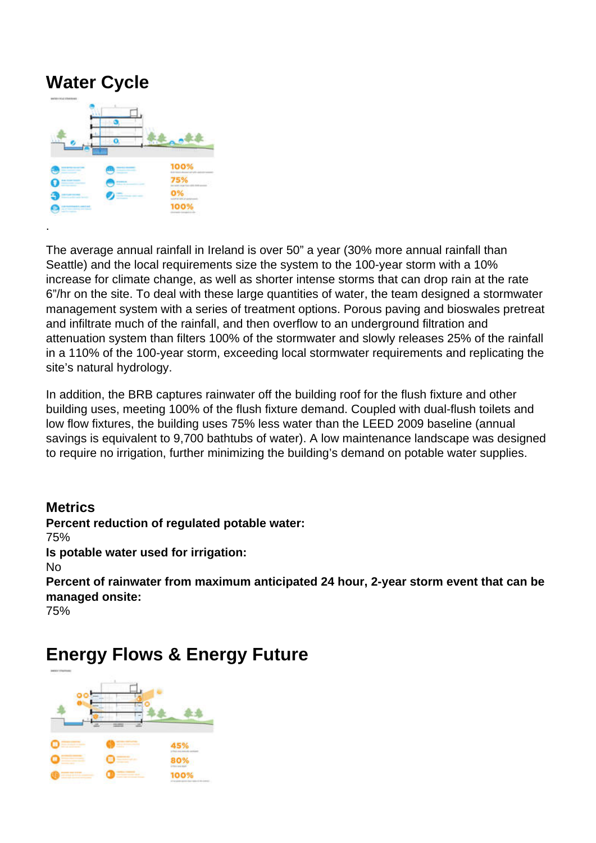## **Water Cycle**

.



The average annual rainfall in Ireland is over 50" a year (30% more annual rainfall than Seattle) and the local requirements size the system to the 100-year storm with a 10% increase for climate change, as well as shorter intense storms that can drop rain at the rate 6"/hr on the site. To deal with these large quantities of water, the team designed a stormwater management system with a series of treatment options. Porous paving and bioswales pretreat and infiltrate much of the rainfall, and then overflow to an underground filtration and attenuation system than filters 100% of the stormwater and slowly releases 25% of the rainfall in a 110% of the 100-year storm, exceeding local stormwater requirements and replicating the site's natural hydrology.

In addition, the BRB captures rainwater off the building roof for the flush fixture and other building uses, meeting 100% of the flush fixture demand. Coupled with dual-flush toilets and low flow fixtures, the building uses 75% less water than the LEED 2009 baseline (annual savings is equivalent to 9,700 bathtubs of water). A low maintenance landscape was designed to require no irrigation, further minimizing the building's demand on potable water supplies.

#### **Metrics**

**Percent reduction of regulated potable water:**  75% **Is potable water used for irrigation:**  No **Percent of rainwater from maximum anticipated 24 hour, 2-year storm event that can be managed onsite:**  75%

### **Energy Flows & Energy Future**

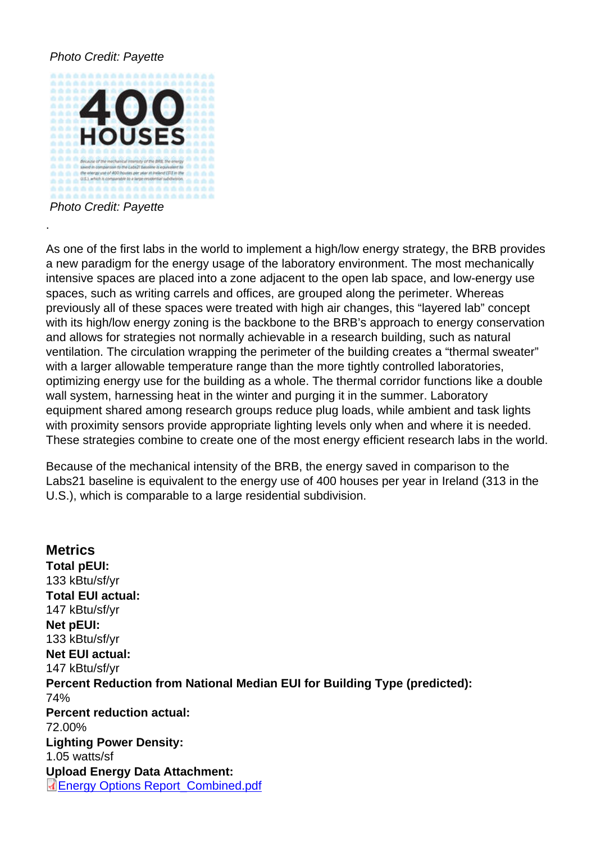Photo Credit: Payette

.

As one of the first labs in the world to implement a high/low energy strategy, the BRB provides a new paradigm for the energy usage of the laboratory environment. The most mechanically intensive spaces are placed into a zone adjacent to the open lab space, and low-energy use spaces, such as writing carrels and offices, are grouped along the perimeter. Whereas previously all of these spaces were treated with high air changes, this "layered lab" concept with its high/low energy zoning is the backbone to the BRB's approach to energy conservation and allows for strategies not normally achievable in a research building, such as natural ventilation. The circulation wrapping the perimeter of the building creates a "thermal sweater" with a larger allowable temperature range than the more tightly controlled laboratories, optimizing energy use for the building as a whole. The thermal corridor functions like a double wall system, harnessing heat in the winter and purging it in the summer. Laboratory equipment shared among research groups reduce plug loads, while ambient and task lights with proximity sensors provide appropriate lighting levels only when and where it is needed. These strategies combine to create one of the most energy efficient research labs in the world.

Because of the mechanical intensity of the BRB, the energy saved in comparison to the Labs21 baseline is equivalent to the energy use of 400 houses per year in Ireland (313 in the U.S.), which is comparable to a large residential subdivision.

**Metrics** Total pEUI: 133 kBtu/sf/yr Total EUI actual: 147 kBtu/sf/yr Net pEUI: 133 kBtu/sf/yr Net EUI actual: 147 kBtu/sf/yr Percent Reduction from National Median EUI for Building Type (predicted): 74% Percent reduction actual: 72.00% Lighting Power Density: 1.05 watts/sf Upload Energy Data Attachment: Energy Options Report\_Combined.pdf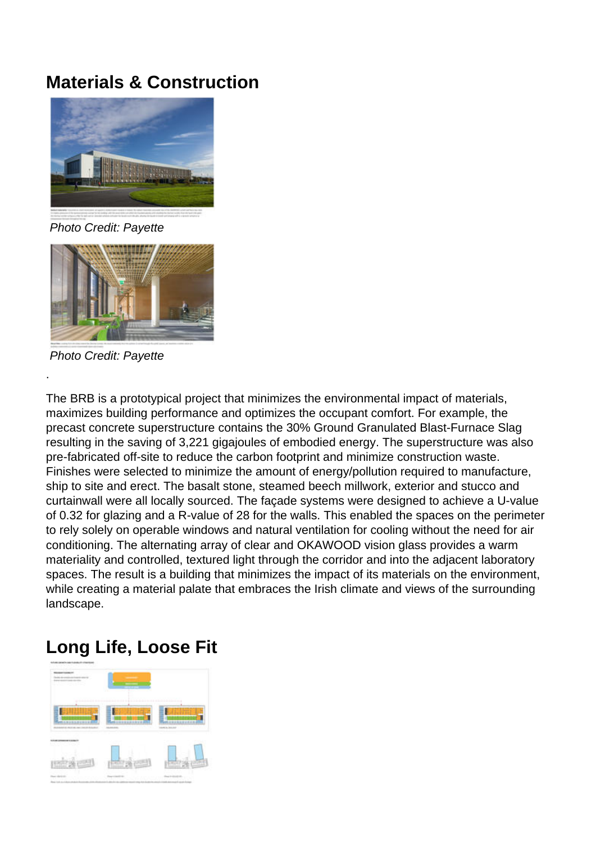## **Materials & Construction**



Photo Credit: Payette



Photo Credit: Payette

.

The BRB is a prototypical project that minimizes the environmental impact of materials, maximizes building performance and optimizes the occupant comfort. For example, the precast concrete superstructure contains the 30% Ground Granulated Blast-Furnace Slag resulting in the saving of 3,221 gigajoules of embodied energy. The superstructure was also pre-fabricated off-site to reduce the carbon footprint and minimize construction waste. Finishes were selected to minimize the amount of energy/pollution required to manufacture, ship to site and erect. The basalt stone, steamed beech millwork, exterior and stucco and curtainwall were all locally sourced. The façade systems were designed to achieve a U-value of 0.32 for glazing and a R-value of 28 for the walls. This enabled the spaces on the perimeter to rely solely on operable windows and natural ventilation for cooling without the need for air conditioning. The alternating array of clear and OKAWOOD vision glass provides a warm materiality and controlled, textured light through the corridor and into the adjacent laboratory spaces. The result is a building that minimizes the impact of its materials on the environment, while creating a material palate that embraces the Irish climate and views of the surrounding landscape.

## **Long Life, Loose Fit**

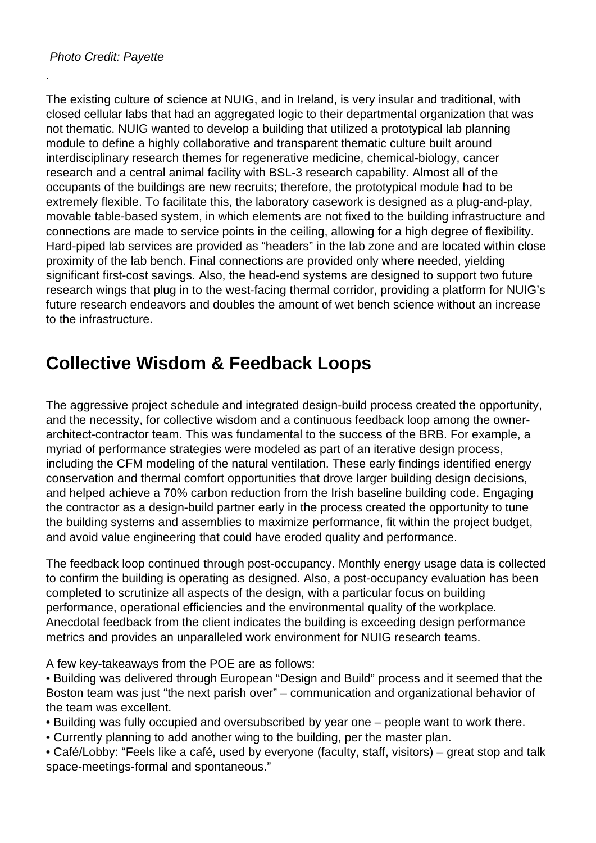.

The existing culture of science at NUIG, and in Ireland, is very insular and traditional, with closed cellular labs that had an aggregated logic to their departmental organization that was not thematic. NUIG wanted to develop a building that utilized a prototypical lab planning module to define a highly collaborative and transparent thematic culture built around interdisciplinary research themes for regenerative medicine, chemical-biology, cancer research and a central animal facility with BSL-3 research capability. Almost all of the occupants of the buildings are new recruits; therefore, the prototypical module had to be extremely flexible. To facilitate this, the laboratory casework is designed as a plug-and-play, movable table-based system, in which elements are not fixed to the building infrastructure and connections are made to service points in the ceiling, allowing for a high degree of flexibility. Hard-piped lab services are provided as "headers" in the lab zone and are located within close proximity of the lab bench. Final connections are provided only where needed, yielding significant first-cost savings. Also, the head-end systems are designed to support two future research wings that plug in to the west-facing thermal corridor, providing a platform for NUIG's future research endeavors and doubles the amount of wet bench science without an increase to the infrastructure.

## **Collective Wisdom & Feedback Loops**

The aggressive project schedule and integrated design-build process created the opportunity, and the necessity, for collective wisdom and a continuous feedback loop among the ownerarchitect-contractor team. This was fundamental to the success of the BRB. For example, a myriad of performance strategies were modeled as part of an iterative design process, including the CFM modeling of the natural ventilation. These early findings identified energy conservation and thermal comfort opportunities that drove larger building design decisions, and helped achieve a 70% carbon reduction from the Irish baseline building code. Engaging the contractor as a design-build partner early in the process created the opportunity to tune the building systems and assemblies to maximize performance, fit within the project budget, and avoid value engineering that could have eroded quality and performance.

The feedback loop continued through post-occupancy. Monthly energy usage data is collected to confirm the building is operating as designed. Also, a post-occupancy evaluation has been completed to scrutinize all aspects of the design, with a particular focus on building performance, operational efficiencies and the environmental quality of the workplace. Anecdotal feedback from the client indicates the building is exceeding design performance metrics and provides an unparalleled work environment for NUIG research teams.

A few key-takeaways from the POE are as follows:

• Building was delivered through European "Design and Build" process and it seemed that the Boston team was just "the next parish over" – communication and organizational behavior of the team was excellent.

• Building was fully occupied and oversubscribed by year one – people want to work there.

• Currently planning to add another wing to the building, per the master plan.

• Café/Lobby: "Feels like a café, used by everyone (faculty, staff, visitors) – great stop and talk space-meetings-formal and spontaneous."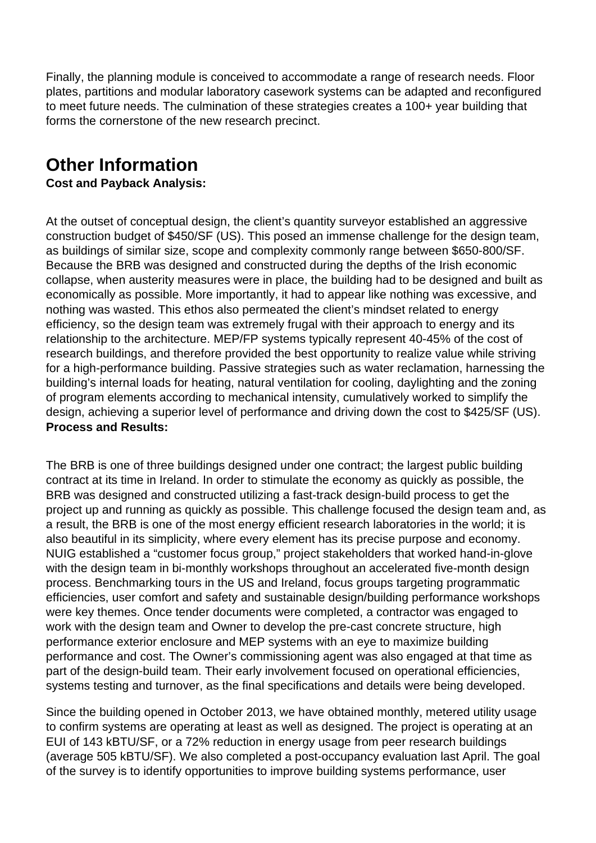Finally, the planning module is conceived to accommodate a range of research needs. Floor plates, partitions and modular laboratory casework systems can be adapted and reconfigured to meet future needs. The culmination of these strategies creates a 100+ year building that forms the cornerstone of the new research precinct.

## **Other Information**

#### **Cost and Payback Analysis:**

At the outset of conceptual design, the client's quantity surveyor established an aggressive construction budget of \$450/SF (US). This posed an immense challenge for the design team, as buildings of similar size, scope and complexity commonly range between \$650-800/SF. Because the BRB was designed and constructed during the depths of the Irish economic collapse, when austerity measures were in place, the building had to be designed and built as economically as possible. More importantly, it had to appear like nothing was excessive, and nothing was wasted. This ethos also permeated the client's mindset related to energy efficiency, so the design team was extremely frugal with their approach to energy and its relationship to the architecture. MEP/FP systems typically represent 40-45% of the cost of research buildings, and therefore provided the best opportunity to realize value while striving for a high-performance building. Passive strategies such as water reclamation, harnessing the building's internal loads for heating, natural ventilation for cooling, daylighting and the zoning of program elements according to mechanical intensity, cumulatively worked to simplify the design, achieving a superior level of performance and driving down the cost to \$425/SF (US). **Process and Results:** 

The BRB is one of three buildings designed under one contract; the largest public building contract at its time in Ireland. In order to stimulate the economy as quickly as possible, the BRB was designed and constructed utilizing a fast-track design-build process to get the project up and running as quickly as possible. This challenge focused the design team and, as a result, the BRB is one of the most energy efficient research laboratories in the world; it is also beautiful in its simplicity, where every element has its precise purpose and economy. NUIG established a "customer focus group," project stakeholders that worked hand-in-glove with the design team in bi-monthly workshops throughout an accelerated five-month design process. Benchmarking tours in the US and Ireland, focus groups targeting programmatic efficiencies, user comfort and safety and sustainable design/building performance workshops were key themes. Once tender documents were completed, a contractor was engaged to work with the design team and Owner to develop the pre-cast concrete structure, high performance exterior enclosure and MEP systems with an eye to maximize building performance and cost. The Owner's commissioning agent was also engaged at that time as part of the design-build team. Their early involvement focused on operational efficiencies, systems testing and turnover, as the final specifications and details were being developed.

Since the building opened in October 2013, we have obtained monthly, metered utility usage to confirm systems are operating at least as well as designed. The project is operating at an EUI of 143 kBTU/SF, or a 72% reduction in energy usage from peer research buildings (average 505 kBTU/SF). We also completed a post-occupancy evaluation last April. The goal of the survey is to identify opportunities to improve building systems performance, user